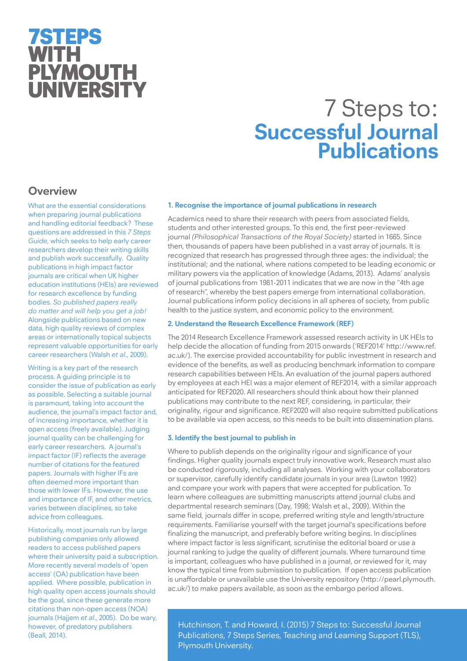## 7STEPS WITH **PLYMOUTH** UNIVERSITY

# 7 Steps to: **Successful Journal Publications**

## **Overview**

What are the essential considerations when preparing journal publications and handling editorial feedback? These questions are addressed in this *7 Steps Guide*, which seeks to help early career researchers develop their writing skills and publish work successfully. Quality publications in high impact factor journals are critical when UK higher education institutions (HEIs) are reviewed for research excellence by funding bodies. *So published papers really do matter and will help you get a job!* Alongside publications based on new data, high quality reviews of complex areas or internationally topical subjects represent valuable opportunities for early career researchers (Walsh *et al*., 2009).

Writing is a key part of the research process. A guiding principle is to consider the issue of publication as early as possible. Selecting a suitable journal is paramount, taking into account the audience, the journal's impact factor and, of increasing importance, whether it is open access (freely available). Judging journal quality can be challenging for early career researchers. A journal's impact factor (IF) reflects the average number of citations for the featured papers. Journals with higher IFs are often deemed more important than those with lower IFs. However, the use and importance of IF, and other metrics, varies between disciplines, so take advice from colleagues.

Historically, most journals run by large publishing companies only allowed readers to access published papers where their university paid a subscription. More recently several models of 'open access' (OA) publication have been applied. Where possible, publication in high quality open access journals should be the goal, since these generate more citations than non-open access (NOA) journals (Hajjem *et al*., 2005). Do be wary, however, of predatory publishers (Beall, 2014).

## **1. Recognise the importance of journal publications in research**

Academics need to share their research with peers from associated fields, students and other interested groups. To this end, the first peer-reviewed journal *(Philosophical Transactions of the Royal Society)* started in 1665. Since then, thousands of papers have been published in a vast array of journals. It is recognized that research has progressed through three ages: the individual; the institutional; and the national, where nations competed to be leading economic or military powers via the application of knowledge (Adams, 2013). Adams' analysis of journal publications from 1981-2011 indicates that we are now in the "4th age of research", whereby the best papers emerge from international collaboration. Journal publications inform policy decisions in all spheres of society, from public health to the justice system, and economic policy to the environment.

## **2. Understand the Research Excellence Framework (REF)**

The 2014 Research Excellence Framework assessed research activity in UK HEIs to help decide the allocation of funding from 2015 onwards ('REF2014' http://www.ref. ac.uk/). The exercise provided accountability for public investment in research and evidence of the benefits, as well as producing benchmark information to compare research capabilities between HEIs. An evaluation of the journal papers authored by employees at each HEI was a major element of REF2014, with a similar approach anticipated for REF2020. All researchers should think about how their planned publications may contribute to the next REF, considering, in particular, their originality, rigour and significance. REF2020 will also require submitted publications to be available via open access, so this needs to be built into dissemination plans.

## **3. Identify the best journal to publish in**

Where to publish depends on the originality rigour and significance of your findings. Higher quality journals expect truly innovative work. Research must also be conducted rigorously, including all analyses. Working with your collaborators or supervisor, carefully identify candidate journals in your area (Lawton 1992) and compare your work with papers that were accepted for publication. To learn where colleagues are submitting manuscripts attend journal clubs and departmental research seminars (Day, 1998; Walsh et al., 2009). Within the same field, journals differ in scope, preferred writing style and length/structure requirements. Familiarise yourself with the target journal's specifications before finalizing the manuscript, and preferably before writing begins. In disciplines where impact factor is less significant, scrutinise the editorial board or use a journal ranking to judge the quality of different journals. Where turnaround time is important, colleagues who have published in a journal, or reviewed for it, may know the typical time from submission to publication. If open access publication is unaffordable or unavailable use the University repository (http://pearl.plymouth. ac.uk/) to make papers available, as soon as the embargo period allows.

Hutchinson, T. and Howard, I. (2015) 7 Steps to: Successful Journal Publications, 7 Steps Series, Teaching and Learning Support (TLS), Plymouth University.